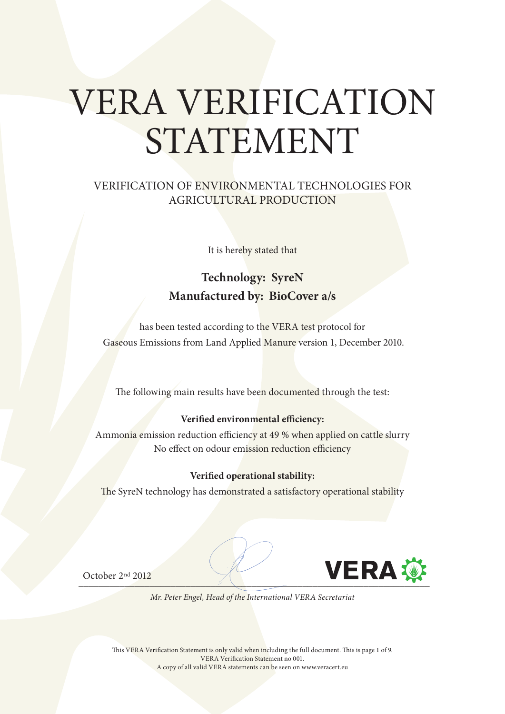# VERA VERIFICATION STATEMENT

#### VERIFICATION OF ENVIRONMENTAL TECHNOLOGIES FOR AGRICULTURAL PRODUCTION

It is hereby stated that

### **Technology: SyreN Manufactured by: BioCover a/s**

has been tested according to the VERA test protocol for Gaseous Emissions from Land Applied Manure version 1, December 2010.

The following main results have been documented through the test:

#### **Verified environmental efficiency:**

Ammonia emission reduction efficiency at 49 % when applied on cattle slurry No effect on odour emission reduction efficiency

#### **Verified operational stability:**

The SyreN technology has demonstrated a satisfactory operational stability



October 2nd 2012



*Mr. Peter Engel, Head of the International VERA Secretariat*

This VERA Verification Statement is only valid when including the full document. This is page 1 of 9. VERA Verification Statement no 001. A copy of all valid VERA statements can be seen on www.veracert.eu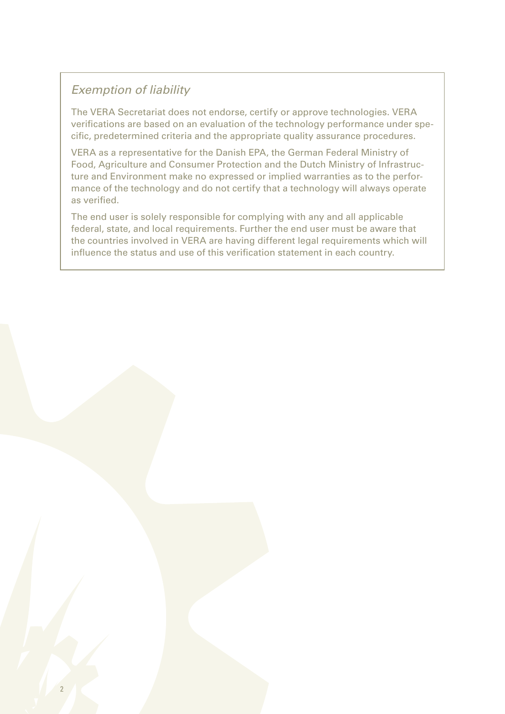#### *Exemption of liability*

The VERA Secretariat does not endorse, certify or approve technologies. VERA verifications are based on an evaluation of the technology performance under specific, predetermined criteria and the appropriate quality assurance procedures.

VERA as a representative for the Danish EPA, the German Federal Ministry of Food, Agriculture and Consumer Protection and the Dutch Ministry of Infrastructure and Environment make no expressed or implied warranties as to the performance of the technology and do not certify that a technology will always operate as verified.

The end user is solely responsible for complying with any and all applicable federal, state, and local requirements. Further the end user must be aware that the countries involved in VERA are having different legal requirements which will influence the status and use of this verification statement in each country.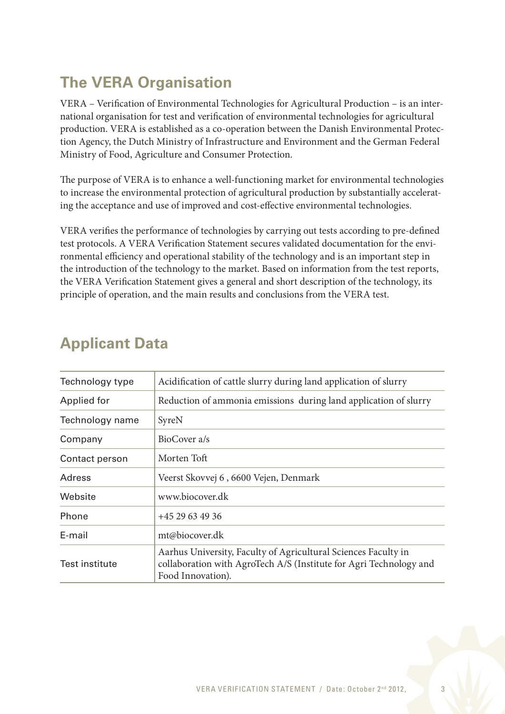# **The VERA Organisation**

VERA – Verification of Environmental Technologies for Agricultural Production – is an international organisation for test and verification of environmental technologies for agricultural production. VERA is established as a co-operation between the Danish Environmental Protection Agency, the Dutch Ministry of Infrastructure and Environment and the German Federal Ministry of Food, Agriculture and Consumer Protection.

The purpose of VERA is to enhance a well-functioning market for environmental technologies to increase the environmental protection of agricultural production by substantially accelerating the acceptance and use of improved and cost-effective environmental technologies.

VERA verifies the performance of technologies by carrying out tests according to pre-defined test protocols. A VERA Verification Statement secures validated documentation for the environmental efficiency and operational stability of the technology and is an important step in the introduction of the technology to the market. Based on information from the test reports, the VERA Verification Statement gives a general and short description of the technology, its principle of operation, and the main results and conclusions from the VERA test.

| Technology type | Acidification of cattle slurry during land application of slurry                                                                                          |  |  |
|-----------------|-----------------------------------------------------------------------------------------------------------------------------------------------------------|--|--|
| Applied for     | Reduction of ammonia emissions during land application of slurry                                                                                          |  |  |
| Technology name | SyreN                                                                                                                                                     |  |  |
| Company         | BioCover a/s                                                                                                                                              |  |  |
| Contact person  | Morten Toft                                                                                                                                               |  |  |
| Adress          | Veerst Skovvej 6, 6600 Vejen, Denmark                                                                                                                     |  |  |
| Website         | www.biocover.dk                                                                                                                                           |  |  |
| Phone           | +45 29 63 49 36                                                                                                                                           |  |  |
| E-mail          | mt@biocover.dk                                                                                                                                            |  |  |
| Test institute  | Aarhus University, Faculty of Agricultural Sciences Faculty in<br>collaboration with AgroTech A/S (Institute for Agri Technology and<br>Food Innovation). |  |  |

## **Applicant Data**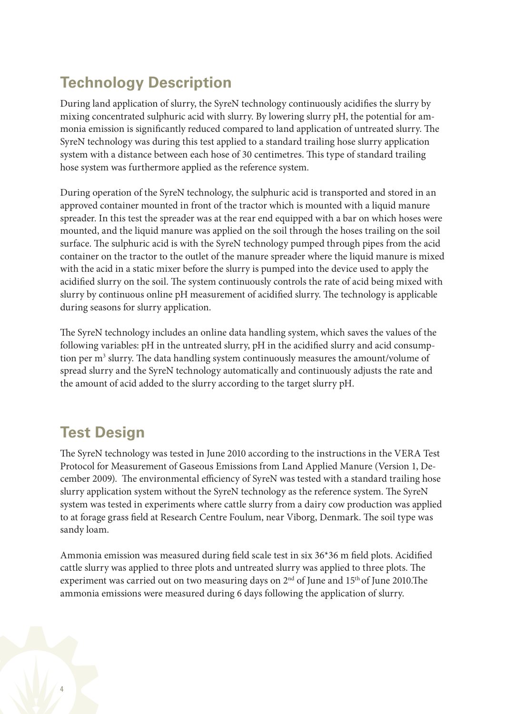## **Technology Description**

During land application of slurry, the SyreN technology continuously acidifies the slurry by mixing concentrated sulphuric acid with slurry. By lowering slurry pH, the potential for ammonia emission is significantly reduced compared to land application of untreated slurry. The SyreN technology was during this test applied to a standard trailing hose slurry application system with a distance between each hose of 30 centimetres. This type of standard trailing hose system was furthermore applied as the reference system.

During operation of the SyreN technology, the sulphuric acid is transported and stored in an approved container mounted in front of the tractor which is mounted with a liquid manure spreader. In this test the spreader was at the rear end equipped with a bar on which hoses were mounted, and the liquid manure was applied on the soil through the hoses trailing on the soil surface. The sulphuric acid is with the SyreN technology pumped through pipes from the acid container on the tractor to the outlet of the manure spreader where the liquid manure is mixed with the acid in a static mixer before the slurry is pumped into the device used to apply the acidified slurry on the soil. The system continuously controls the rate of acid being mixed with slurry by continuous online pH measurement of acidified slurry. The technology is applicable during seasons for slurry application.

The SyreN technology includes an online data handling system, which saves the values of the following variables: pH in the untreated slurry, pH in the acidified slurry and acid consumption per m<sup>3</sup> slurry. The data handling system continuously measures the amount/volume of spread slurry and the SyreN technology automatically and continuously adjusts the rate and the amount of acid added to the slurry according to the target slurry pH.

## **Test Design**

The SyreN technology was tested in June 2010 according to the instructions in the VERA Test Protocol for Measurement of Gaseous Emissions from Land Applied Manure (Version 1, December 2009). The environmental efficiency of SyreN was tested with a standard trailing hose slurry application system without the SyreN technology as the reference system. The SyreN system was tested in experiments where cattle slurry from a dairy cow production was applied to at forage grass field at Research Centre Foulum, near Viborg, Denmark. The soil type was sandy loam.

Ammonia emission was measured during field scale test in six 36\*36 m field plots. Acidified cattle slurry was applied to three plots and untreated slurry was applied to three plots. The experiment was carried out on two measuring days on 2<sup>nd</sup> of June and 15<sup>th</sup> of June 2010.The ammonia emissions were measured during 6 days following the application of slurry.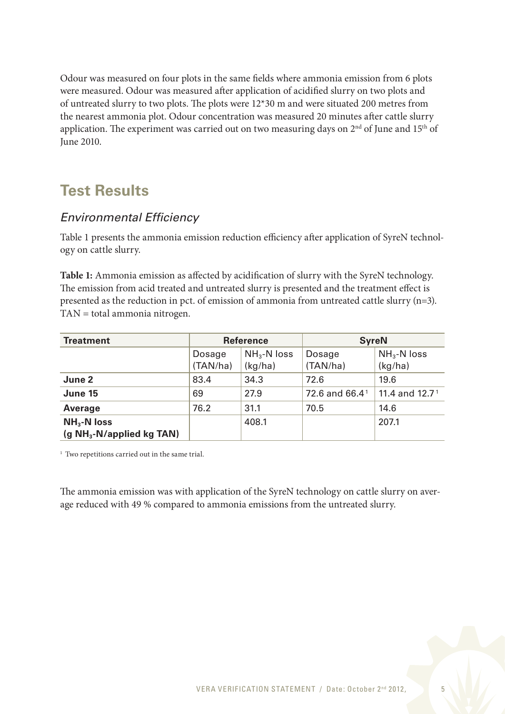Odour was measured on four plots in the same fields where ammonia emission from 6 plots were measured. Odour was measured after application of acidified slurry on two plots and of untreated slurry to two plots. The plots were 12\*30 m and were situated 200 metres from the nearest ammonia plot. Odour concentration was measured 20 minutes after cattle slurry application. The experiment was carried out on two measuring days on  $2<sup>nd</sup>$  of June and  $15<sup>th</sup>$  of June 2010.

## **Test Results**

#### *Environmental Efficiency*

Table 1 presents the ammonia emission reduction efficiency after application of SyreN technology on cattle slurry.

**Table 1:** Ammonia emission as affected by acidification of slurry with the SyreN technology. The emission from acid treated and untreated slurry is presented and the treatment effect is presented as the reduction in pct. of emission of ammonia from untreated cattle slurry (n=3). TAN = total ammonia nitrogen.

| <b>Treatment</b>                            | <b>Reference</b>   |                             | <b>SyreN</b>               |                         |
|---------------------------------------------|--------------------|-----------------------------|----------------------------|-------------------------|
|                                             | Dosage<br>(TAN/ha) | $NH_{3}$ -N loss<br>(kg/ha) | Dosage<br>(TAN/ha)         | $NH3-N loss$<br>(kg/ha) |
| June 2                                      | 83.4               | 34.3                        | 72.6                       | 19.6                    |
| June 15                                     | 69                 | 27.9                        | 72.6 and 66.4 <sup>1</sup> | 11.4 and $12.71$        |
| <b>Average</b>                              | 76.2               | 31.1                        | 70.5                       | 14.6                    |
| $NH3$ -N loss<br>$(g NH3-N/applied kg TAN)$ |                    | 408.1                       |                            | 207.1                   |

<sup>1</sup> Two repetitions carried out in the same trial.

The ammonia emission was with application of the SyreN technology on cattle slurry on average reduced with 49 % compared to ammonia emissions from the untreated slurry.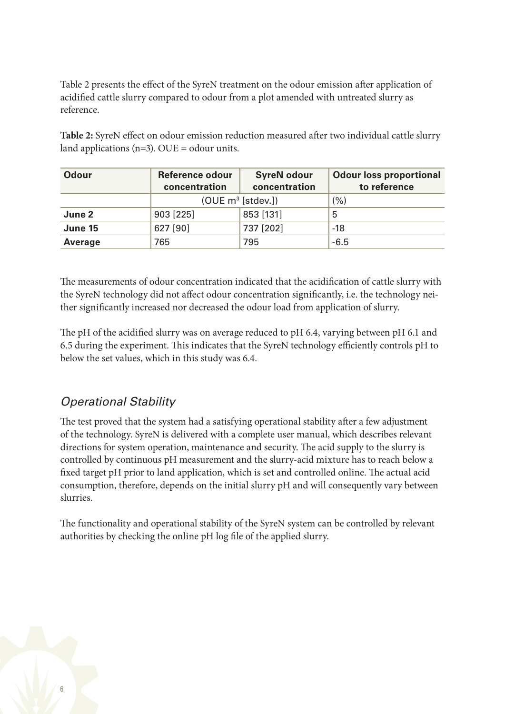Table 2 presents the effect of the SyreN treatment on the odour emission after application of acidified cattle slurry compared to odour from a plot amended with untreated slurry as reference.

**Table 2:** SyreN effect on odour emission reduction measured after two individual cattle slurry land applications  $(n=3)$ . OUE = odour units.

| <b>Odour</b>   | <b>Reference odour</b><br>concentration | <b>SyreN odour</b><br>concentration | <b>Odour loss proportional</b><br>to reference |
|----------------|-----------------------------------------|-------------------------------------|------------------------------------------------|
|                | $(ODE \, m^3 \, [stdev.])$              | (% )                                |                                                |
| June 2         | 903 [225]                               | 853 [131]                           | 5                                              |
| June 15        | 627 [90]                                | 737 [202]                           | $-18$                                          |
| <b>Average</b> | 765                                     | 795                                 | $-6.5$                                         |

The measurements of odour concentration indicated that the acidification of cattle slurry with the SyreN technology did not affect odour concentration significantly, i.e. the technology neither significantly increased nor decreased the odour load from application of slurry.

The pH of the acidified slurry was on average reduced to pH 6.4, varying between pH 6.1 and 6.5 during the experiment. This indicates that the SyreN technology efficiently controls pH to below the set values, which in this study was 6.4.

#### *Operational Stability*

The test proved that the system had a satisfying operational stability after a few adjustment of the technology. SyreN is delivered with a complete user manual, which describes relevant directions for system operation, maintenance and security. The acid supply to the slurry is controlled by continuous pH measurement and the slurry-acid mixture has to reach below a fixed target pH prior to land application, which is set and controlled online. The actual acid consumption, therefore, depends on the initial slurry pH and will consequently vary between slurries.

The functionality and operational stability of the SyreN system can be controlled by relevant authorities by checking the online pH log file of the applied slurry.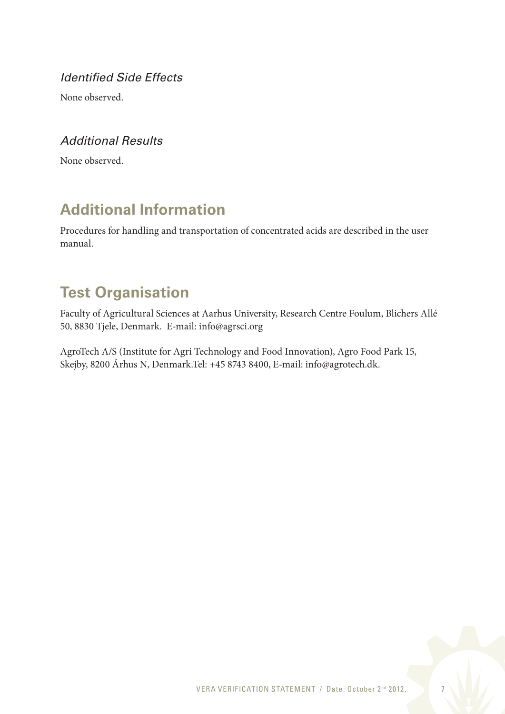*Identified Side Effects*

None observed.

#### *Additional Results*

None observed.

## **Additional Information**

Procedures for handling and transportation of concentrated acids are described in the user manual.

## **Test Organisation**

Faculty of Agricultural Sciences at Aarhus University, Research Centre Foulum, Blichers Allé 50, 8830 Tjele, Denmark. E-mail: info@agrsci.org

AgroTech A/S (Institute for Agri Technology and Food Innovation), Agro Food Park 15, Skejby, 8200 Århus N, Denmark.Tel: +45 8743 8400, E-mail: info@agrotech.dk.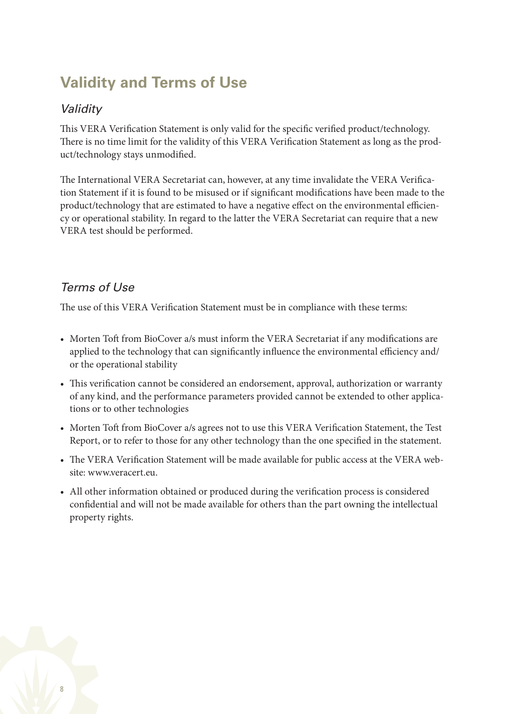## **Validity and Terms of Use**

#### *Validity*

This VERA Verification Statement is only valid for the specific verified product/technology. There is no time limit for the validity of this VERA Verification Statement as long as the product/technology stays unmodified.

The International VERA Secretariat can, however, at any time invalidate the VERA Verification Statement if it is found to be misused or if significant modifications have been made to the product/technology that are estimated to have a negative effect on the environmental efficiency or operational stability. In regard to the latter the VERA Secretariat can require that a new VERA test should be performed.

#### *Terms of Use*

The use of this VERA Verification Statement must be in compliance with these terms:

- Morten Toft from BioCover a/s must inform the VERA Secretariat if any modifications are applied to the technology that can significantly influence the environmental efficiency and/ or the operational stability
- This verification cannot be considered an endorsement, approval, authorization or warranty of any kind, and the performance parameters provided cannot be extended to other applications or to other technologies
- Morten Toft from BioCover a/s agrees not to use this VERA Verification Statement, the Test Report, or to refer to those for any other technology than the one specified in the statement.
- The VERA Verification Statement will be made available for public access at the VERA website: www.veracert.eu.
- All other information obtained or produced during the verification process is considered confidential and will not be made available for others than the part owning the intellectual property rights.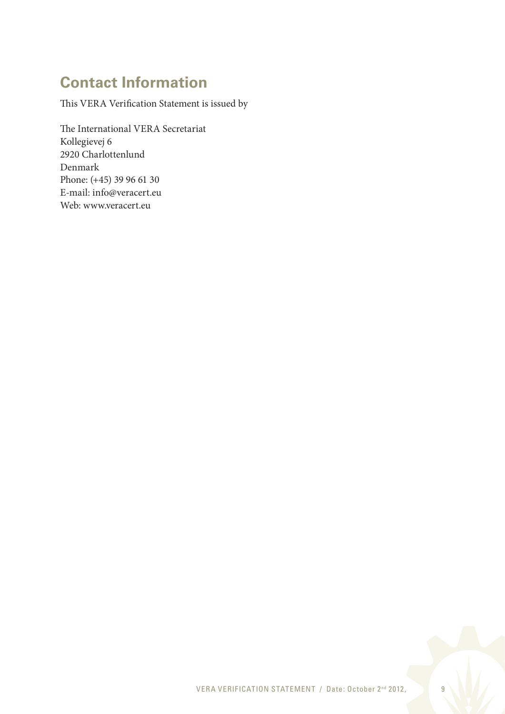## **Contact Information**

This VERA Verification Statement is issued by

The International VERA Secretariat Kollegievej 6 2920 Charlottenlund Denmark Phone: (+45) 39 96 61 30 E-mail: info@veracert.eu Web: www.veracert.eu